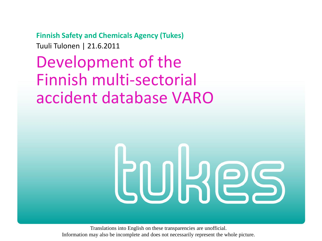**Finnish Safety and Chemicals Agency (Tukes)** Tuuli Tulonen | 21.6.2011

Development of the Finnish multi-sectorial accident database VARO

# **COLRES**

Translations into English on these transparencies are unofficial. Information may also be incomplete and does not necessarily represent the whole picture.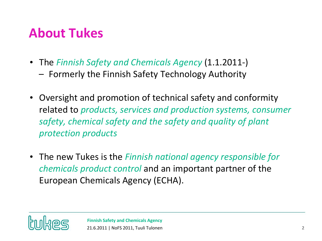## **About Tukes**

- The *Finnish Safety and Chemicals Agency* (1.1.2011-)
	- Formerly the Finnish Safety Technology Authority
- Oversight and promotion of technical safety and conformity related to *products, services and production systems, consumer safety, chemical safety and the safety and quality of plant protection products*
- The new Tukes is the *Finnish national agency responsible for chemicals product control* and an important partner of the European Chemicals Agency (ECHA).

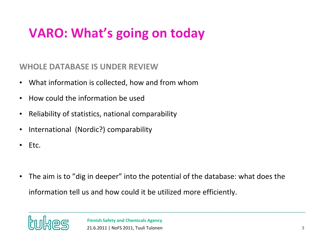# **VARO: What's going on today**

**WHOLE DATABASE IS UNDER REVIEW**

- What information is collected, how and from whom
- How could the information be used
- Reliability of statistics, national comparability
- International (Nordic?) comparability
- Etc.
- The aim is to "dig in deeper" into the potential of the database: what does the information tell us and how could it be utilized more efficiently.

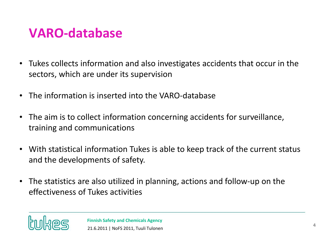## **VARO-database**

- Tukes collects information and also investigates accidents that occur in the sectors, which are under its supervision
- The information is inserted into the VARO-database
- The aim is to collect information concerning accidents for surveillance, training and communications
- With statistical information Tukes is able to keep track of the current status and the developments of safety.
- The statistics are also utilized in planning, actions and follow-up on the effectiveness of Tukes activities

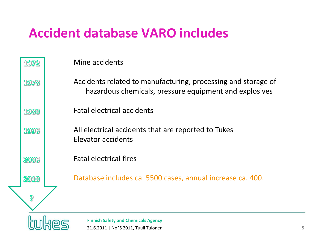## **Accident database VARO includes**

| 1972 | Mine accidents                                                                                                          |   |
|------|-------------------------------------------------------------------------------------------------------------------------|---|
| 1978 | Accidents related to manufacturing, processing and storage of<br>hazardous chemicals, pressure equipment and explosives |   |
| 1980 | <b>Fatal electrical accidents</b>                                                                                       |   |
| 1996 | All electrical accidents that are reported to Tukes<br>Elevator accidents                                               |   |
| 2006 | <b>Fatal electrical fires</b>                                                                                           |   |
| 2010 | Database includes ca. 5500 cases, annual increase ca. 400.                                                              |   |
| ခု   |                                                                                                                         |   |
|      | <b>Finnish Safety and Chemicals Agency</b><br>21.6.2011   NoFS 2011, Tuuli Tulonen                                      | 5 |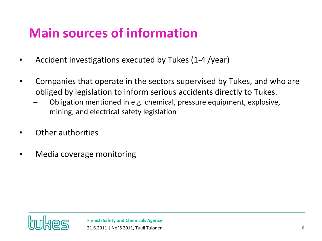# **Main sources of information**

- Accident investigations executed by Tukes (1-4 /year)
- Companies that operate in the sectors supervised by Tukes, and who are obliged by legislation to inform serious accidents directly to Tukes.
	- Obligation mentioned in e.g. chemical, pressure equipment, explosive, mining, and electrical safety legislation
- Other authorities
- Media coverage monitoring

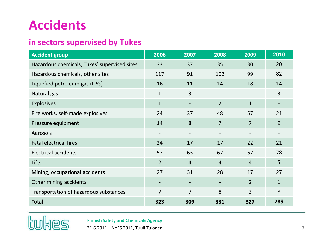#### **Accidents**

#### **in sectors supervised by Tukes**

| <b>Accident group</b>                        | 2006                     | 2007                         | 2008                     | 2009           | $\overline{2010}$ |
|----------------------------------------------|--------------------------|------------------------------|--------------------------|----------------|-------------------|
| Hazardous chemicals, Tukes' supervised sites | 33                       | 37                           | 35                       | 30             | 20                |
| Hazardous chemicals, other sites             | 117                      | 91                           | 102                      | 99             | 82                |
| Liquefied petroleum gas (LPG)                | 16                       | 11                           | 14                       | 18             | 14                |
| Natural gas                                  | $\mathbf{1}$             | 3                            | $\overline{\phantom{a}}$ |                | 3                 |
| <b>Explosives</b>                            | $\mathbf{1}$             |                              | $\overline{2}$           | $\mathbf{1}$   |                   |
| Fire works, self-made explosives             | 24                       | 37                           | 48                       | 57             | 21                |
| Pressure equipment                           | 14                       | 8                            | $\overline{7}$           | $\overline{7}$ | 9                 |
| Aerosols                                     | $\overline{\phantom{a}}$ | $\qquad \qquad \blacksquare$ |                          |                |                   |
| <b>Fatal electrical fires</b>                | 24                       | 17                           | 17                       | 22             | 21                |
| <b>Electrical accidents</b>                  | 57                       | 63                           | 67                       | 67             | 78                |
| Lifts                                        | $\overline{2}$           | $\overline{4}$               | $\overline{4}$           | $\overline{4}$ | 5                 |
| Mining, occupational accidents               | 27                       | 31                           | 28                       | 17             | 27                |
| Other mining accidents                       |                          |                              |                          | $\overline{2}$ | $\mathbf{1}$      |
| Transportation of hazardous substances       | $\overline{7}$           | $\overline{7}$               | 8                        | 3              | 8                 |
| <b>Total</b>                                 | 323                      | 309                          | 331                      | 327            | 289               |



•**Finnish Safety and Chemicals Agency**

21.6.2011 | NoFS 2011, Tuuli Tulonen **7**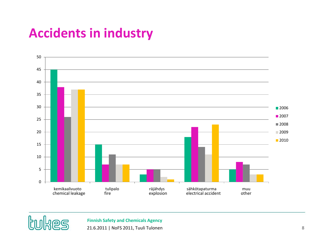## **Accidents in industry**





•**Finnish Safety and Chemicals Agency**

21.6.2011 | NoFS 2011, Tuuli Tulonen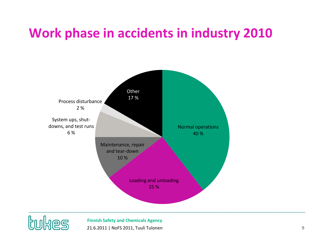#### **Work phase in accidents in industry 2010**





•**Finnish Safety and Chemicals Agency** 21.6.2011 | NoFS 2011, Tuuli Tulonen **9**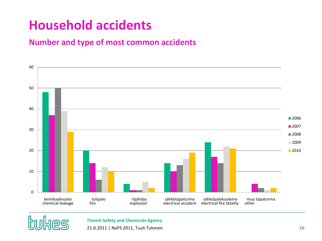## **Household accidents**

#### **Number and type of most common accidents**





•**Finnish Safety and Chemicals Agency**

21.6.2011 | NoFS 2011, Tuuli Tulonen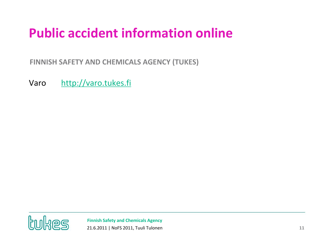# **Public accident information online**

•**FINNISH SAFETY AND CHEMICALS AGENCY (TUKES)**

Varo [http://varo.tukes.fi](http://varo.tukes.fi/)



•**Finnish Safety and Chemicals Agency** 21.6.2011 | NoFS 2011, Tuuli Tulonen **11**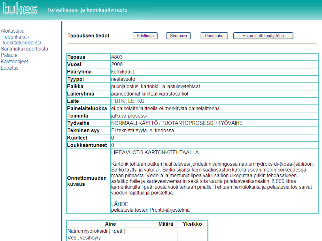

| Aloitussivu          |  |  |  |  |
|----------------------|--|--|--|--|
| Tiedonhaku -         |  |  |  |  |
| luokittelutiedoista  |  |  |  |  |
| Sanahaku raporteista |  |  |  |  |
| Palaute              |  |  |  |  |
| Käyttöohjeet         |  |  |  |  |
| Lopetus              |  |  |  |  |

| Edellinen<br><b>Tapauksen tiedot</b><br>Uusi haku<br>Paluu luettelonäyttöön<br>Seuraava |                                                                                                                                                                                                                                                                                                                                                                                                                                                                                                                                                                                                                  |       |         |  |  |  |  |  |
|-----------------------------------------------------------------------------------------|------------------------------------------------------------------------------------------------------------------------------------------------------------------------------------------------------------------------------------------------------------------------------------------------------------------------------------------------------------------------------------------------------------------------------------------------------------------------------------------------------------------------------------------------------------------------------------------------------------------|-------|---------|--|--|--|--|--|
|                                                                                         |                                                                                                                                                                                                                                                                                                                                                                                                                                                                                                                                                                                                                  |       |         |  |  |  |  |  |
| Tapaus                                                                                  | 4803                                                                                                                                                                                                                                                                                                                                                                                                                                                                                                                                                                                                             |       |         |  |  |  |  |  |
| Vuosi                                                                                   | 2006                                                                                                                                                                                                                                                                                                                                                                                                                                                                                                                                                                                                             |       |         |  |  |  |  |  |
| Pääryhma                                                                                | kemikaalit                                                                                                                                                                                                                                                                                                                                                                                                                                                                                                                                                                                                       |       |         |  |  |  |  |  |
| Tyyppi                                                                                  | nestevuoto                                                                                                                                                                                                                                                                                                                                                                                                                                                                                                                                                                                                       |       |         |  |  |  |  |  |
| Paikka                                                                                  | puunjalostus, kartonki- ja lastulevytehtaat                                                                                                                                                                                                                                                                                                                                                                                                                                                                                                                                                                      |       |         |  |  |  |  |  |
| Laiteryhmä                                                                              | paineettomat kiinteät varastosäiliöt                                                                                                                                                                                                                                                                                                                                                                                                                                                                                                                                                                             |       |         |  |  |  |  |  |
| Laite                                                                                   | PUTKI, LETKU                                                                                                                                                                                                                                                                                                                                                                                                                                                                                                                                                                                                     |       |         |  |  |  |  |  |
| Painelaiteluokka                                                                        | ei painelaite/laitteella ei merkitystä painelaitteena                                                                                                                                                                                                                                                                                                                                                                                                                                                                                                                                                            |       |         |  |  |  |  |  |
| <b>Toiminta</b><br>jatkuva prosessi                                                     |                                                                                                                                                                                                                                                                                                                                                                                                                                                                                                                                                                                                                  |       |         |  |  |  |  |  |
| Työvaihe                                                                                | NORMAALI KÄYTTÖ / TUOTANTOPROSESSI / TYÖVAIHE                                                                                                                                                                                                                                                                                                                                                                                                                                                                                                                                                                    |       |         |  |  |  |  |  |
| Tekninen syy                                                                            | Ei teknistä syytä, ei tiedossa                                                                                                                                                                                                                                                                                                                                                                                                                                                                                                                                                                                   |       |         |  |  |  |  |  |
| <b>Kuolleet</b>                                                                         | 0                                                                                                                                                                                                                                                                                                                                                                                                                                                                                                                                                                                                                |       |         |  |  |  |  |  |
| Loukkaantuneet                                                                          | l0                                                                                                                                                                                                                                                                                                                                                                                                                                                                                                                                                                                                               |       |         |  |  |  |  |  |
| Onnettomuuden<br>kuvaus                                                                 | LIPEÄVUOTO KARTONKITEHTAALLA<br>Kartonkitehtaan putken huuhteluvesi johdettiin vahingossa natriumhydroksidi-(lipeä-)säiliöön.<br>Säiliö täyttyi ja valui yli. Säiliö sijaitsi kemikaaliosaston katolla usean metrin korkeudessa<br>maan pinnasta. Vedellä laimentunut lipeä valui säiliön ulkopintaa pitkin tehdasalueen<br>asfalttipihalle ja sadevesiviemäriin sekä sitä kautta puhdasvesikanaaliin. 6 000 litraa<br>laimentunutta lipeäliuosta vuoti tehtaan pihalle. Tehtaan henkilökunta ja pelastuslaitos saivat<br>vuodon rajattua ja poistettua.<br><b>LÄHDE</b><br>pelastuslaitosten Pronto-järjestelmä |       |         |  |  |  |  |  |
|                                                                                         |                                                                                                                                                                                                                                                                                                                                                                                                                                                                                                                                                                                                                  |       |         |  |  |  |  |  |
| Aine                                                                                    |                                                                                                                                                                                                                                                                                                                                                                                                                                                                                                                                                                                                                  | Määrä | Yksikkö |  |  |  |  |  |
| Natriumhydroksidi (lipeä)                                                               |                                                                                                                                                                                                                                                                                                                                                                                                                                                                                                                                                                                                                  |       |         |  |  |  |  |  |
| Vesi, vesihövry                                                                         |                                                                                                                                                                                                                                                                                                                                                                                                                                                                                                                                                                                                                  |       |         |  |  |  |  |  |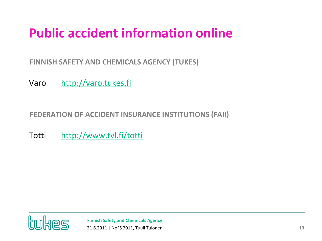# **Public accident information online**

•**FINNISH SAFETY AND CHEMICALS AGENCY (TUKES)**

Varo [http://varo.tukes.fi](http://varo.tukes.fi/)

•**FEDERATION OF ACCIDENT INSURANCE INSTITUTIONS (FAII)**

Totti <http://www.tvl.fi/totti>

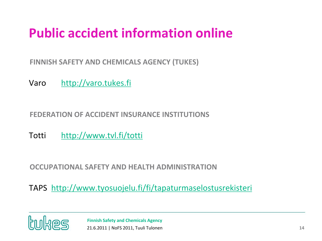# **Public accident information online**

•**FINNISH SAFETY AND CHEMICALS AGENCY (TUKES)**

Varo [http://varo.tukes.fi](http://varo.tukes.fi/)

#### •**FEDERATION OF ACCIDENT INSURANCE INSTITUTIONS**

Totti <http://www.tvl.fi/totti>

•**OCCUPATIONAL SAFETY AND HEALTH ADMINISTRATION**

TAPS <http://www.tyosuojelu.fi/fi/tapaturmaselostusrekisteri>